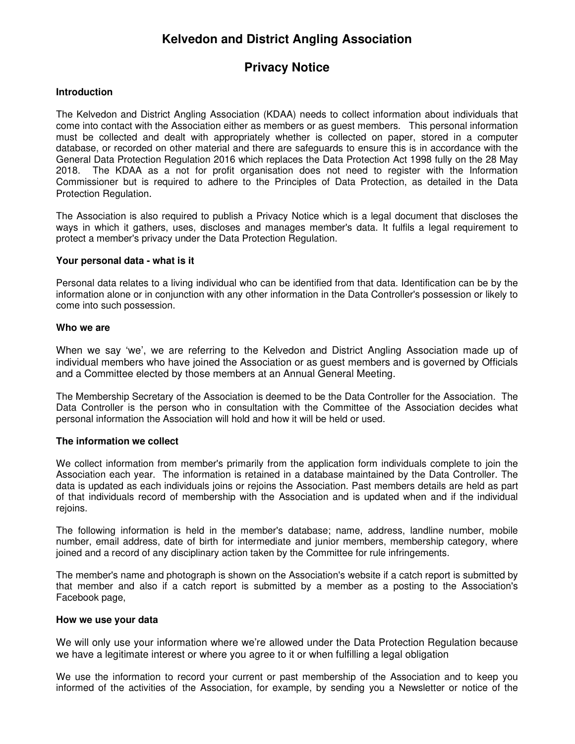# **Kelvedon and District Angling Association**

## **Privacy Notice**

## **Introduction**

The Kelvedon and District Angling Association (KDAA) needs to collect information about individuals that come into contact with the Association either as members or as guest members. This personal information must be collected and dealt with appropriately whether is collected on paper, stored in a computer database, or recorded on other material and there are safeguards to ensure this is in accordance with the General Data Protection Regulation 2016 which replaces the Data Protection Act 1998 fully on the 28 May 2018. The KDAA as a not for profit organisation does not need to register with the Information Commissioner but is required to adhere to the Principles of Data Protection, as detailed in the Data Protection Regulation.

The Association is also required to publish a Privacy Notice which is a legal document that discloses the ways in which it gathers, uses, discloses and manages member's data. It fulfils a legal requirement to protect a member's privacy under the Data Protection Regulation.

## **Your personal data - what is it**

Personal data relates to a living individual who can be identified from that data. Identification can be by the information alone or in conjunction with any other information in the Data Controller's possession or likely to come into such possession.

## **Who we are**

When we say 'we', we are referring to the Kelvedon and District Angling Association made up of individual members who have joined the Association or as guest members and is governed by Officials and a Committee elected by those members at an Annual General Meeting.

The Membership Secretary of the Association is deemed to be the Data Controller for the Association. The Data Controller is the person who in consultation with the Committee of the Association decides what personal information the Association will hold and how it will be held or used.

#### **The information we collect**

We collect information from member's primarily from the application form individuals complete to join the Association each year. The information is retained in a database maintained by the Data Controller. The data is updated as each individuals joins or rejoins the Association. Past members details are held as part of that individuals record of membership with the Association and is updated when and if the individual rejoins.

The following information is held in the member's database; name, address, landline number, mobile number, email address, date of birth for intermediate and junior members, membership category, where joined and a record of any disciplinary action taken by the Committee for rule infringements.

The member's name and photograph is shown on the Association's website if a catch report is submitted by that member and also if a catch report is submitted by a member as a posting to the Association's Facebook page,

#### **How we use your data**

We will only use your information where we're allowed under the Data Protection Regulation because we have a legitimate interest or where you agree to it or when fulfilling a legal obligation

We use the information to record your current or past membership of the Association and to keep you informed of the activities of the Association, for example, by sending you a Newsletter or notice of the